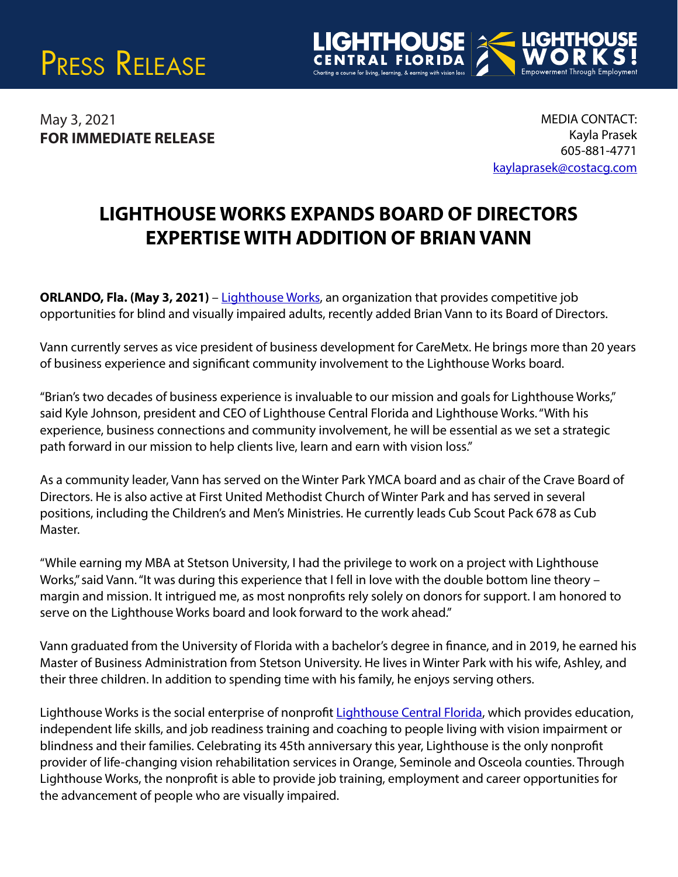



May 3, 2021 **FOR IMMEDIATE RELEASE** 

MEDIA CONTACT: Kayla Prasek 605-881-4771 [kaylaprasek@costacg.com](mailto:kaylaprasek@costacg.com) 

## **LIGHTHOUSE WORKS EXPANDS BOARD OF DIRECTORS EXPERTISE WITH ADDITION OF BRIAN VANN**

**ORLANDO, Fla. (May 3, 2021)** – [Lighthouse Works,](https://www.lighthouseworks.org) an organization that provides competitive job opportunities for blind and visually impaired adults, recently added Brian Vann to its Board of Directors.

Vann currently serves as vice president of business development for CareMetx. He brings more than 20 years of business experience and significant community involvement to the Lighthouse Works board.

"Brian's two decades of business experience is invaluable to our mission and goals for Lighthouse Works," said Kyle Johnson, president and CEO of Lighthouse Central Florida and Lighthouse Works. "With his experience, business connections and community involvement, he will be essential as we set a strategic path forward in our mission to help clients live, learn and earn with vision loss."

As a community leader, Vann has served on the Winter Park YMCA board and as chair of the Crave Board of Directors. He is also active at First United Methodist Church of Winter Park and has served in several positions, including the Children's and Men's Ministries. He currently leads Cub Scout Pack 678 as Cub Master.

"While earning my MBA at Stetson University, I had the privilege to work on a project with Lighthouse Works," said Vann. "It was during this experience that I fell in love with the double bottom line theory – margin and mission. It intrigued me, as most nonprofits rely solely on donors for support. I am honored to serve on the Lighthouse Works board and look forward to the work ahead."

Vann graduated from the University of Florida with a bachelor's degree in finance, and in 2019, he earned his Master of Business Administration from Stetson University. He lives in Winter Park with his wife, Ashley, and their three children. In addition to spending time with his family, he enjoys serving others.

Lighthouse Works is the social enterprise of nonprofit [Lighthouse Central Florida,](https://www.lighthousecfl.org) which provides education, independent life skills, and job readiness training and coaching to people living with vision impairment or blindness and their families. Celebrating its 45th anniversary this year, Lighthouse is the only nonprofit provider of life-changing vision rehabilitation services in Orange, Seminole and Osceola counties. Through Lighthouse Works, the nonprofit is able to provide job training, employment and career opportunities for the advancement of people who are visually impaired.